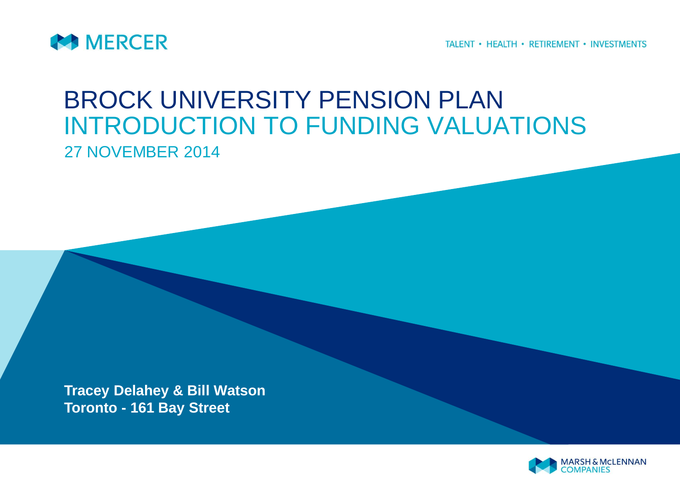

TALENT • HEALTH • RETIREMENT • INVESTMENTS

# BROCK UNIVERSITY PENSION PLAN INTRODUCTION TO FUNDING VALUATIONS 27 NOVEMBER 2014

**Tracey Delahey & Bill Watson Toronto - 161 Bay Street**

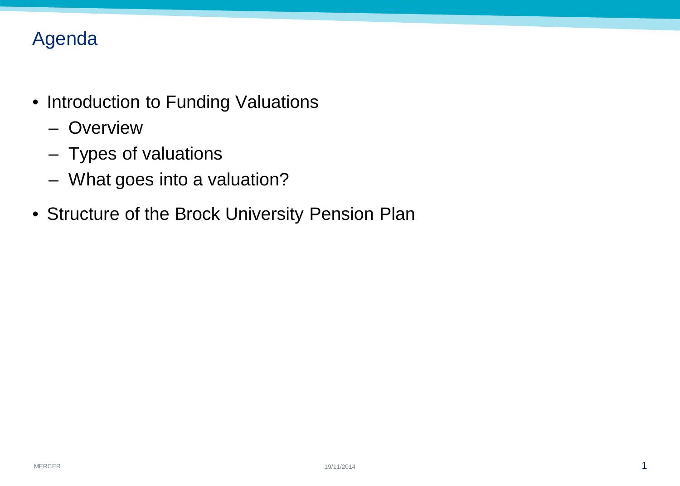## Agenda

- Introduction to Funding Valuations
	- Overview
	- Types of valuations
	- What goes into a valuation?
- Structure of the Brock University Pension Plan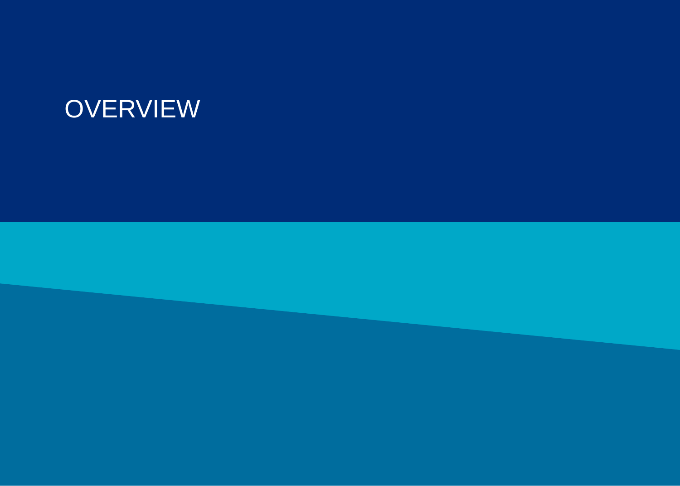# **OVERVIEW**

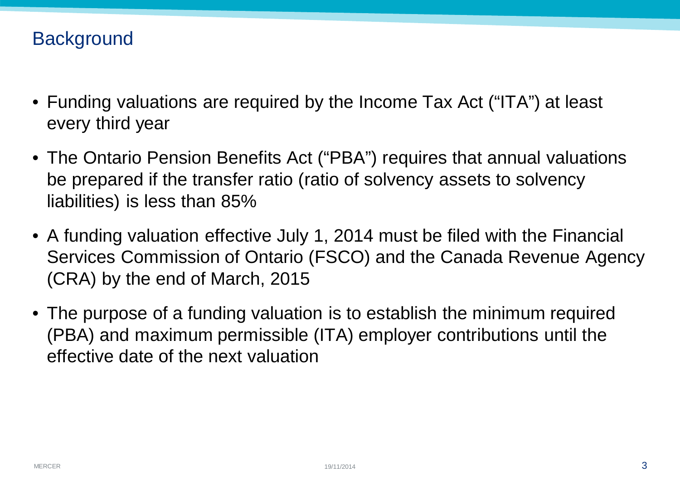### **Background**

- Funding valuations are required by the Income Tax Act ("ITA") at least every third year
- The Ontario Pension Benefits Act ("PBA") requires that annual valuations be prepared if the transfer ratio (ratio of solvency assets to solvency liabilities) is less than 85%
- A funding valuation effective July 1, 2014 must be filed with the Financial Services Commission of Ontario (FSCO) and the Canada Revenue Agency (CRA) by the end of March, 2015
- The purpose of a funding valuation is to establish the minimum required (PBA) and maximum permissible (ITA) employer contributions until the effective date of the next valuation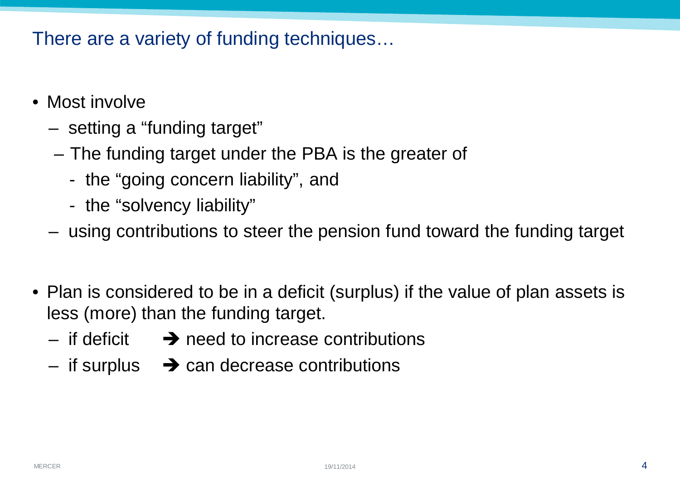### There are a variety of funding techniques…

- Most involve
	- setting a "funding target"
	- The funding target under the PBA is the greater of
		- the "going concern liability", and
		- the "solvency liability"
	- using contributions to steer the pension fund toward the funding target
- Plan is considered to be in a deficit (surplus) if the value of plan assets is less (more) than the funding target.
	- if deficit  $\rightarrow$  need to increase contributions
	- if surplus  $\rightarrow$  can decrease contributions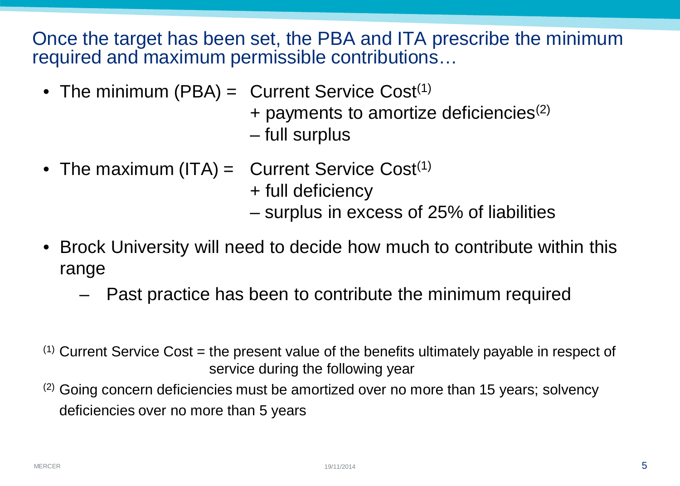Once the target has been set, the PBA and ITA prescribe the minimum required and maximum permissible contributions…

• The minimum (PBA)  $=$  Current Service Cost<sup>(1)</sup>

 $+$  payments to amortize deficiencies<sup>(2)</sup>

– full surplus

• The maximum (ITA) = Current Service Cost $(1)$ + full deficiency

– surplus in excess of 25% of liabilities

- Brock University will need to decide how much to contribute within this range
	- Past practice has been to contribute the minimum required
- $(1)$  Current Service Cost = the present value of the benefits ultimately payable in respect of service during the following year
- $(2)$  Going concern deficiencies must be amortized over no more than 15 years; solvency deficiencies over no more than 5 years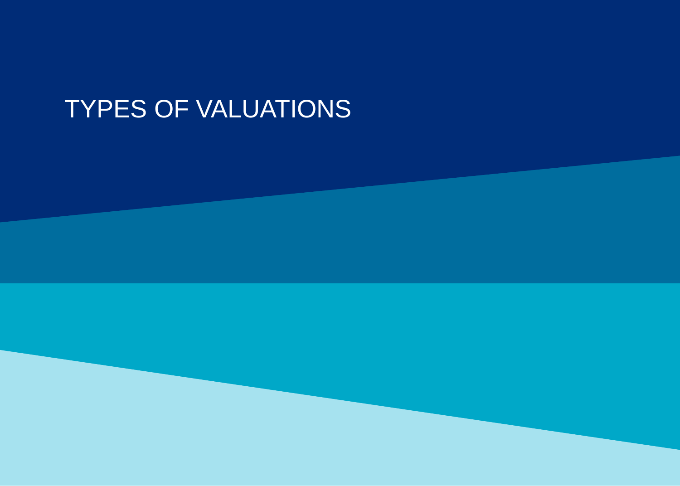# TYPES OF VALUATIONS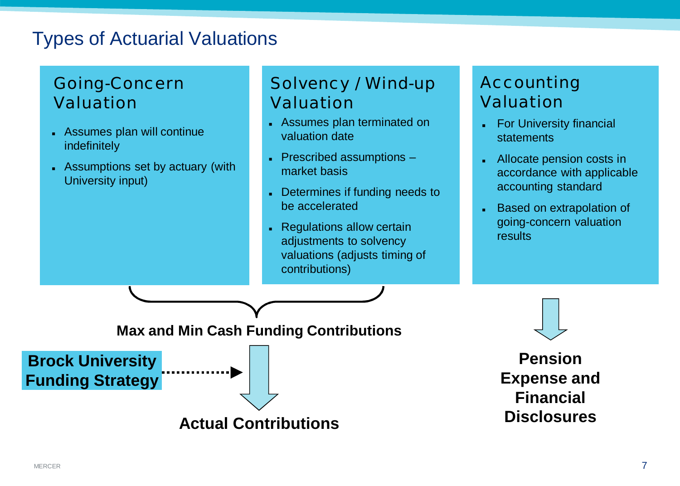## Types of Actuarial Valuations

#### Going-Concern Valuation

- **Assumes plan will continue** indefinitely
- Assumptions set by actuary (with University input)

### Solvency / Wind-up Valuation

- **Assumes plan terminated on** valuation date
- $\blacksquare$  Prescribed assumptions  $\blacksquare$ market basis
- Determines if funding needs to be accelerated
- Regulations allow certain adjustments to solvency valuations (adjusts timing of contributions)

#### Accounting Valuation

- **For University financial statements**
- <sup>n</sup> Allocate pension costs in accordance with applicable accounting standard
- Based on extrapolation of going-concern valuation results

**Max and Min Cash Funding Contributions**



**Brock University Funding Strategy**

**Disclosures Actual Contributions**

**Pension Expense and Financial**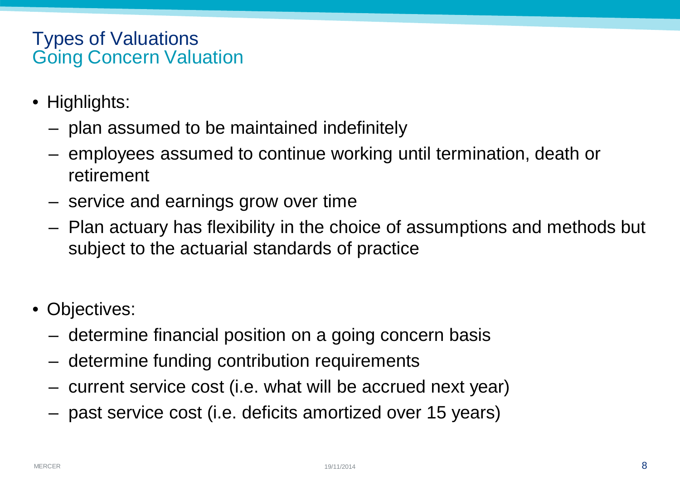#### Types of Valuations Going Concern Valuation

- Highlights:
	- plan assumed to be maintained indefinitely
	- employees assumed to continue working until termination, death or retirement
	- service and earnings grow over time
	- Plan actuary has flexibility in the choice of assumptions and methods but subject to the actuarial standards of practice
- Objectives:
	- determine financial position on a going concern basis
	- determine funding contribution requirements
	- current service cost (i.e. what will be accrued next year)
	- past service cost (i.e. deficits amortized over 15 years)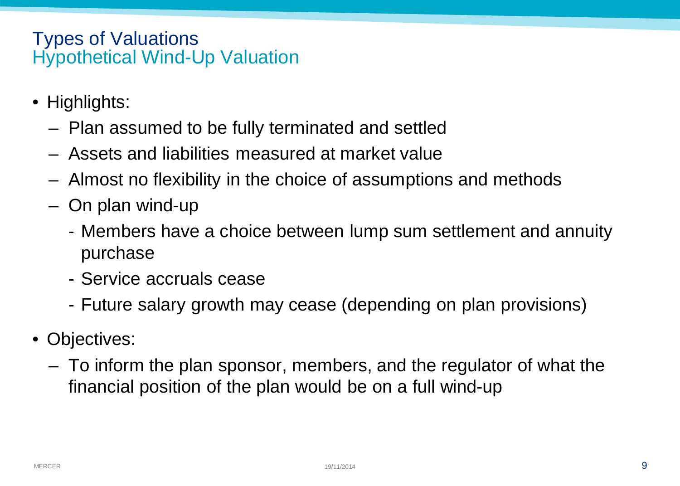#### Types of Valuations Hypothetical Wind-Up Valuation

- Highlights:
	- Plan assumed to be fully terminated and settled
	- Assets and liabilities measured at market value
	- Almost no flexibility in the choice of assumptions and methods
	- On plan wind-up
		- Members have a choice between lump sum settlement and annuity purchase
		- Service accruals cease
		- Future salary growth may cease (depending on plan provisions)
- Objectives:
	- To inform the plan sponsor, members, and the regulator of what the financial position of the plan would be on a full wind-up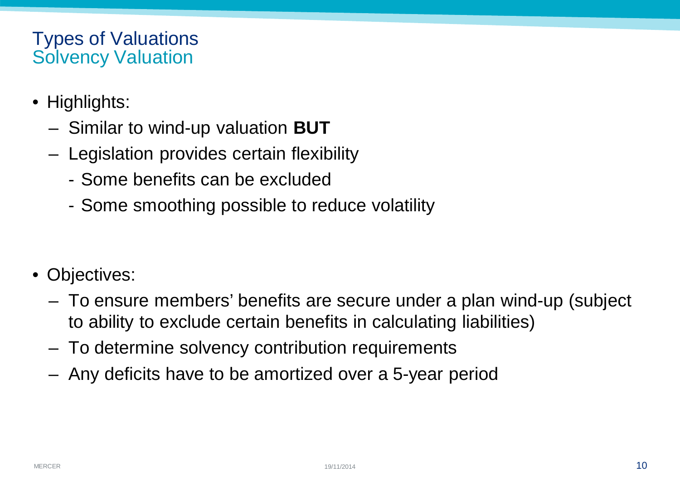#### Types of Valuations Solvency Valuation

- Highlights:
	- Similar to wind-up valuation **BUT**
	- Legislation provides certain flexibility
		- Some benefits can be excluded
		- Some smoothing possible to reduce volatility
- Objectives:
	- To ensure members' benefits are secure under a plan wind-up (subject to ability to exclude certain benefits in calculating liabilities)
	- To determine solvency contribution requirements
	- Any deficits have to be amortized over a 5-year period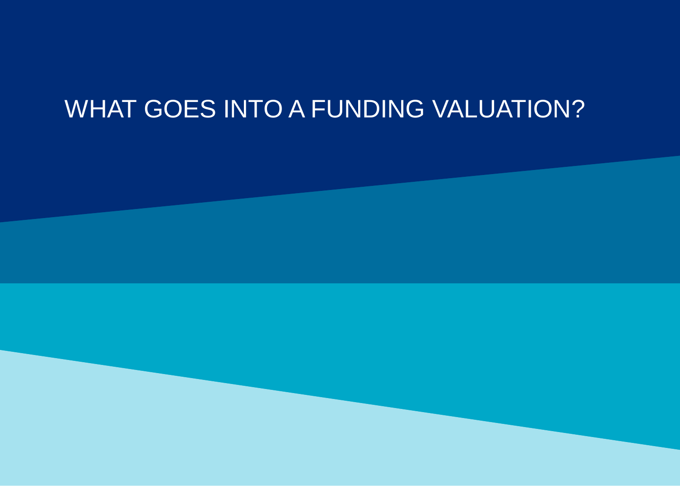# WHAT GOES INTO A FUNDING VALUATION?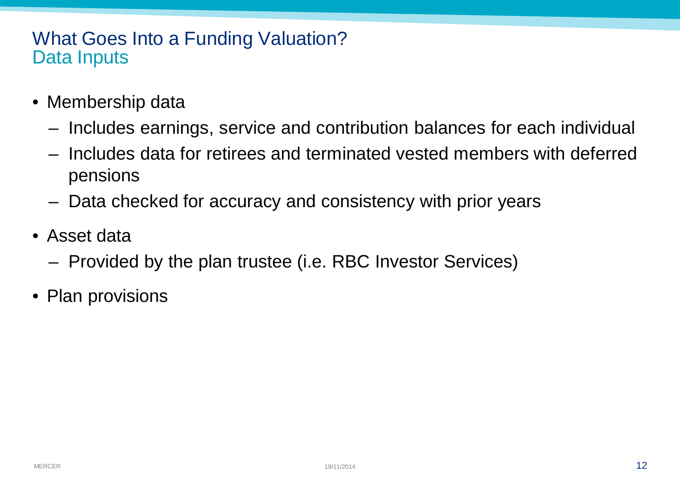#### What Goes Into a Funding Valuation? Data Inputs

- Membership data
	- Includes earnings, service and contribution balances for each individual
	- Includes data for retirees and terminated vested members with deferred pensions
	- Data checked for accuracy and consistency with prior years
- Asset data
	- Provided by the plan trustee (i.e. RBC Investor Services)
- Plan provisions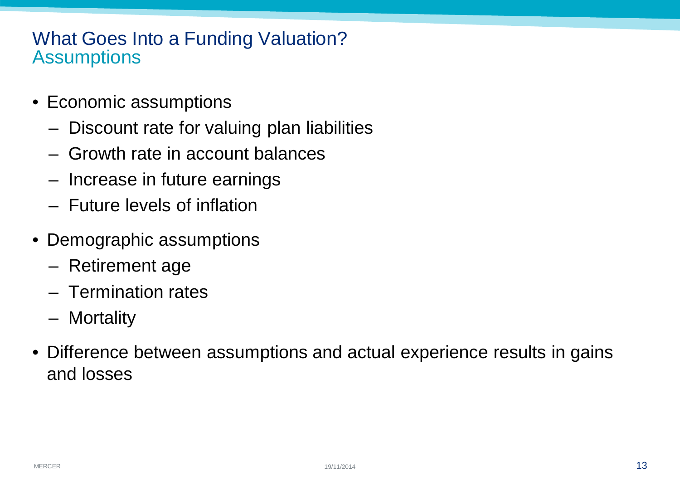#### What Goes Into a Funding Valuation? **Assumptions**

- Economic assumptions
	- Discount rate for valuing plan liabilities
	- Growth rate in account balances
	- Increase in future earnings
	- Future levels of inflation
- Demographic assumptions
	- Retirement age
	- Termination rates
	- Mortality
- Difference between assumptions and actual experience results in gains and losses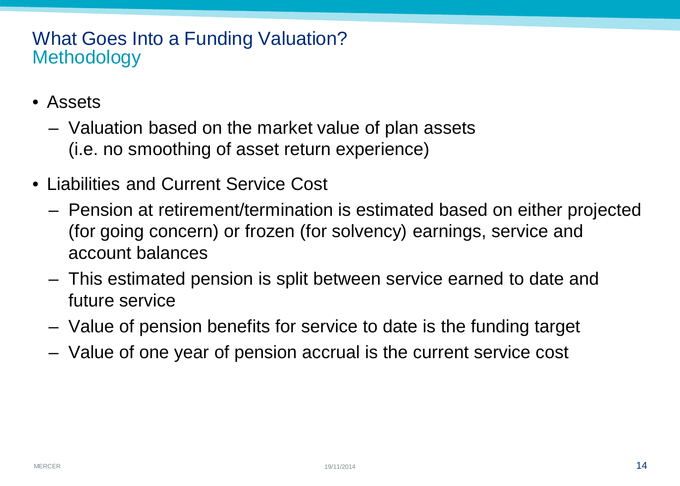### What Goes Into a Funding Valuation? **Methodology**

- Assets
	- Valuation based on the market value of plan assets (i.e. no smoothing of asset return experience)
- Liabilities and Current Service Cost
	- Pension at retirement/termination is estimated based on either projected (for going concern) or frozen (for solvency) earnings, service and account balances
	- This estimated pension is split between service earned to date and future service
	- Value of pension benefits for service to date is the funding target
	- Value of one year of pension accrual is the current service cost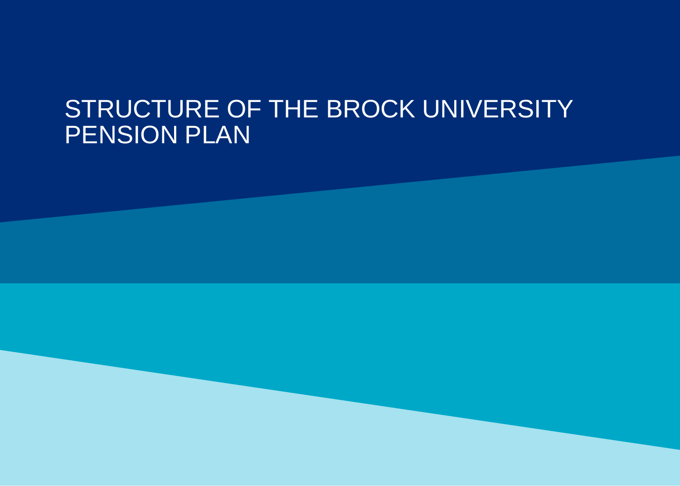# STRUCTURE OF THE BROCK UNIVERSITY PENSION PLAN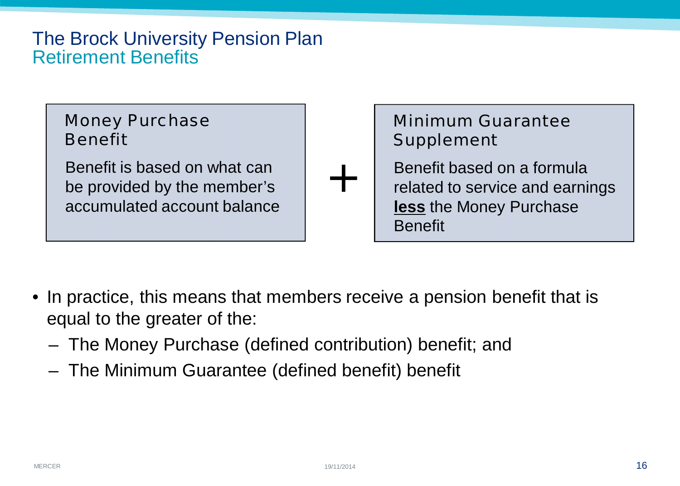#### The Brock University Pension Plan Retirement Benefits



- In practice, this means that members receive a pension benefit that is equal to the greater of the:
	- The Money Purchase (defined contribution) benefit; and
	- The Minimum Guarantee (defined benefit) benefit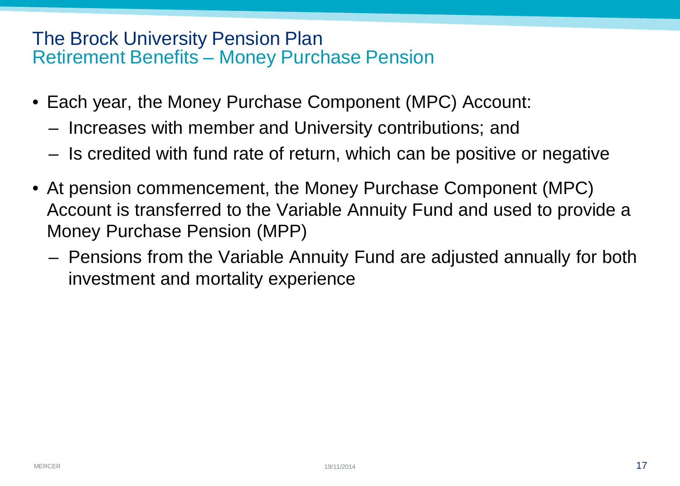#### The Brock University Pension Plan Retirement Benefits – Money Purchase Pension

- Each year, the Money Purchase Component (MPC) Account:
	- Increases with member and University contributions; and
	- Is credited with fund rate of return, which can be positive or negative
- At pension commencement, the Money Purchase Component (MPC) Account is transferred to the Variable Annuity Fund and used to provide a Money Purchase Pension (MPP)
	- Pensions from the Variable Annuity Fund are adjusted annually for both investment and mortality experience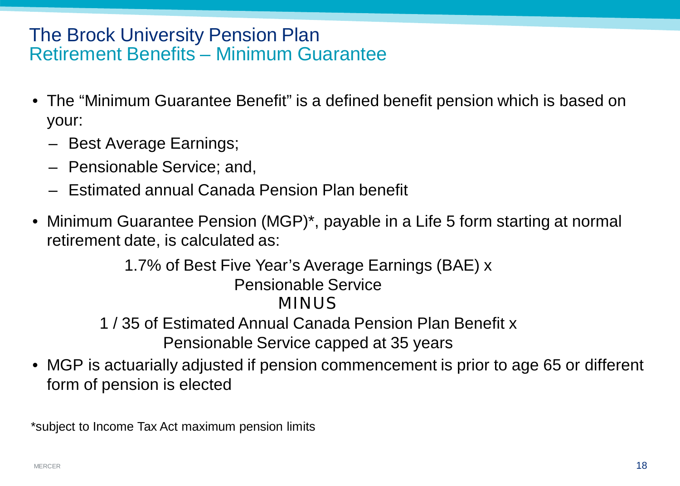#### The Brock University Pension Plan Retirement Benefits – Minimum Guarantee

- The "Minimum Guarantee Benefit" is a defined benefit pension which is based on your:
	- Best Average Earnings;
	- Pensionable Service; and,
	- Estimated annual Canada Pension Plan benefit
- Minimum Guarantee Pension (MGP)<sup>\*</sup>, payable in a Life 5 form starting at normal retirement date, is calculated as:

1.7% of Best Five Year's Average Earnings (BAE) x Pensionable Service **MINUS** 1 / 35 of Estimated Annual Canada Pension Plan Benefit x Pensionable Service capped at 35 years

• MGP is actuarially adjusted if pension commencement is prior to age 65 or different form of pension is elected

\*subject to Income Tax Act maximum pension limits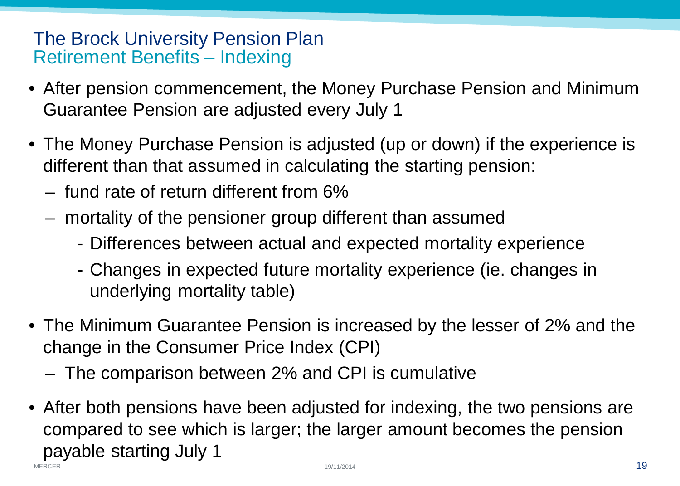#### The Brock University Pension Plan Retirement Benefits – Indexing

- After pension commencement, the Money Purchase Pension and Minimum Guarantee Pension are adjusted every July 1
- The Money Purchase Pension is adjusted (up or down) if the experience is different than that assumed in calculating the starting pension:
	- fund rate of return different from 6%
	- mortality of the pensioner group different than assumed
		- Differences between actual and expected mortality experience
		- Changes in expected future mortality experience (ie. changes in underlying mortality table)
- The Minimum Guarantee Pension is increased by the lesser of 2% and the change in the Consumer Price Index (CPI)
	- The comparison between 2% and CPI is cumulative
- MERCER  $19/11/2014$ • After both pensions have been adjusted for indexing, the two pensions are compared to see which is larger; the larger amount becomes the pension payable starting July 1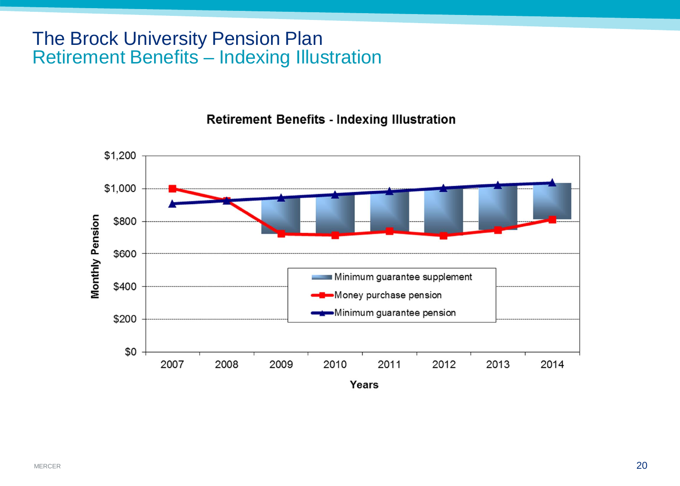#### The Brock University Pension Plan Retirement Benefits – Indexing Illustration

**Retirement Benefits - Indexing Illustration** 

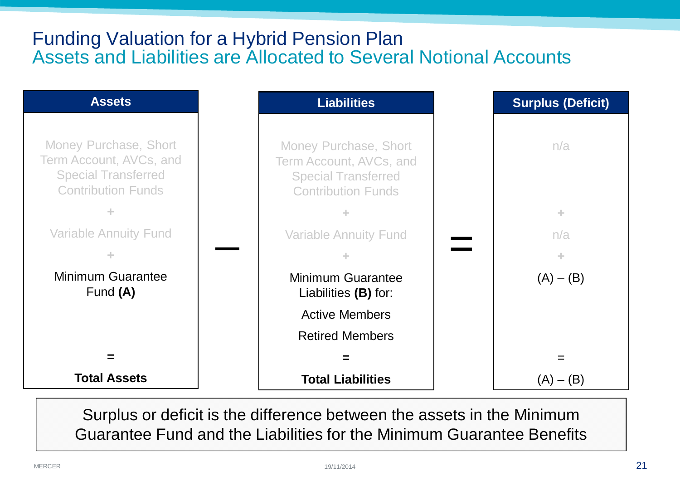#### Funding Valuation for a Hybrid Pension Plan Assets and Liabilities are Allocated to Several Notional Accounts



Surplus or deficit is the difference between the assets in the Minimum Guarantee Fund and the Liabilities for the Minimum Guarantee Benefits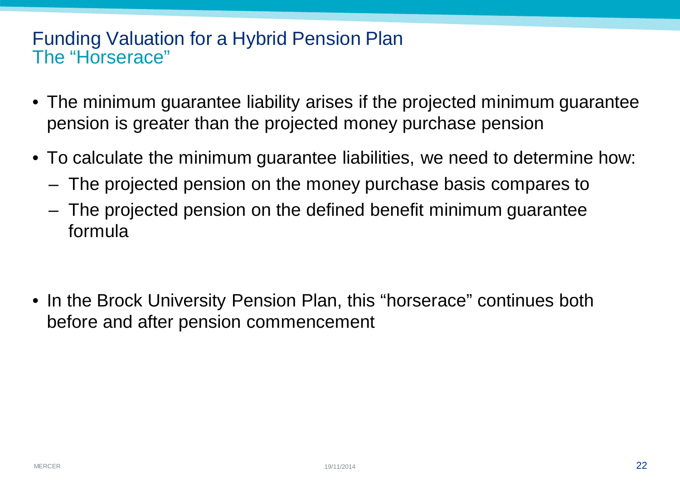#### Funding Valuation for a Hybrid Pension Plan The "Horserace"

- The minimum guarantee liability arises if the projected minimum guarantee pension is greater than the projected money purchase pension
- To calculate the minimum guarantee liabilities, we need to determine how:
	- The projected pension on the money purchase basis compares to
	- The projected pension on the defined benefit minimum guarantee formula
- In the Brock University Pension Plan, this "horserace" continues both before and after pension commencement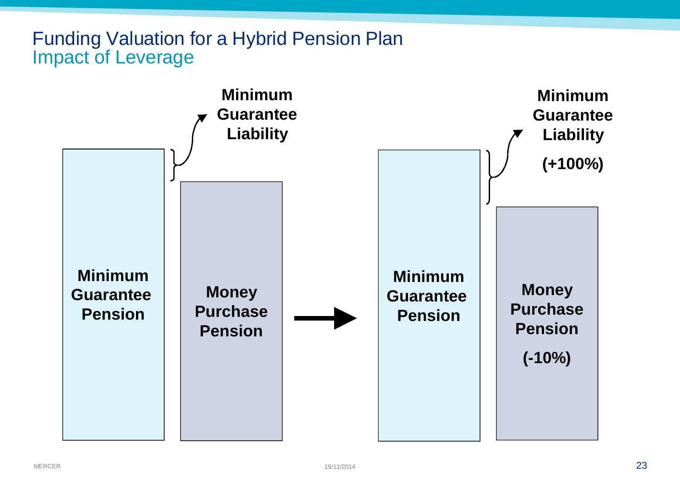### Funding Valuation for a Hybrid Pension Plan Impact of Leverage